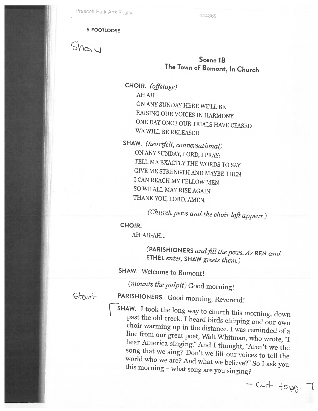## 6 FOOTLOOSE

Shery

## Scene lB The Town of Bomont, In Church

CHOIR. (offstage) AHAH ON ANY SUNDAY HERE WE'LL BE RAISING OUR VOICES IN HARMONY ONE DAY ONCE OUR TRIALS HAVE CEASED WE WILL BE RELEASED

SHAW. (heartfelt, conversational) ON ANY SUNDAY, LORD, <sup>I</sup> PRAY: TELL ME EXACTLY THE WORDS TO SAY GIVE ME STRENGTH AND MAYBE THEN <sup>I</sup> CAN REACH MY FELLOW MEN SO WE ALL MAY RISE AGAIN THANK YOU, LORD. AMEN.

(church pews and the choir loft appear.)

## CHOIR.

AH-AH-AH...

(PARISHIONERS and fill the pews. As REN and ETHEL enter, SHAW greets them.)

SHAW. Welcome to Bomont!

(mounts the pulpit) Good morning!

Start

PARISHIONERS. Good morning, Reverend!

**SHAW.** I took the long way to church this morning, down past the old creek. I heard birds chirping and our own choir warming up in the distance. I was reminded of a line from our great poet, Walt Whitman, who wrote, "I h

 $-cuttopg.$